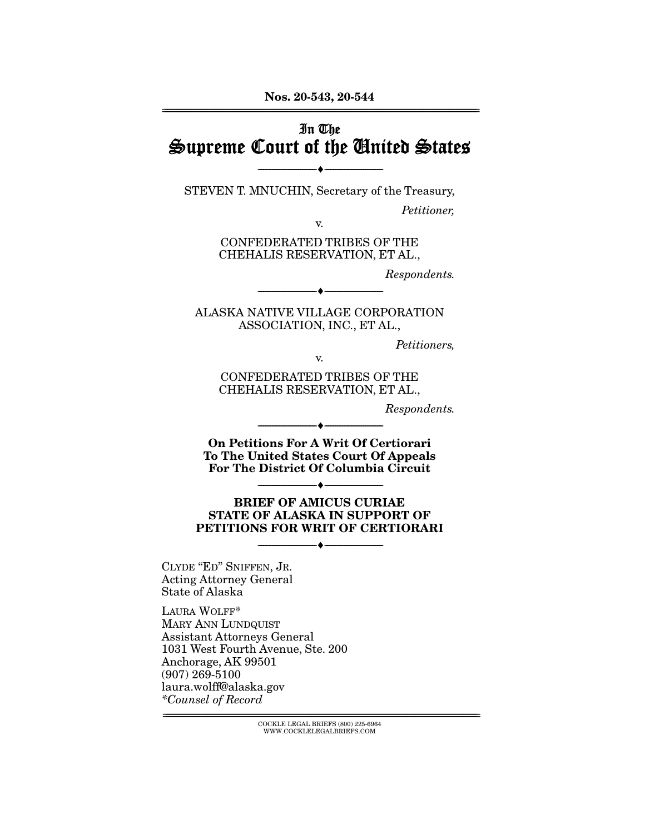### $\tilde{z}$ In The Supreme Court of the United States

 $\overbrace{\hspace{27mm}}$   $\overbrace{\hspace{27mm}}$ STEVEN T. MNUCHIN, Secretary of the Treasury,

Petitioner,

 $$\,{\rm v.}\ $$  CONFEDERATED TRIBES OF THE CHEHALIS RESERVATION ET AL. CHEHALIS RESERVATION, ET AL.,

Respondents.

ALASKA NATIVE VILLAGE CORPORATION ASSOCIATION, INC., ET AL.,  $\frac{1}{2}$ 

 $\overbrace{\hspace{2.5cm}}$   $\overbrace{\hspace{2.5cm}}$ 

Petitioners,

 $$\,{\rm v.}\ $$  CONFEDERATED TRIBES OF THE CHEHALIS RESERVATION ET AL. CHEHALIS RESERVATION, ET AL.,

Respondents.

--------------------------------- ♦ --------------------------------- **On Petitions For A Writ Of Certiorari To The United States Court Of Appeals For The District Of Columbia Circuit** 

# --------------------------------- ♦ --------------------------------- **BRIEF OF AMICUS CURIAE STATE OF ALASKA IN SUPPORT OF PETITIONS FOR WRIT OF CERTIORARI**

 $\overbrace{\hspace{2.5cm}}$   $\overbrace{\hspace{2.5cm}}$ 

CLYDE "ED" SNIFFEN, JR. State of Alaska

LAURA WOLFF\* MARY ANN LUNDQUIST Assistant Attorneys General 1031 West Fourth Avenue, Ste. 200 Anchorage, AK 99501  $(907)$  269-5100 laura.wolff@alaska.gov  $*$ Counsel of Record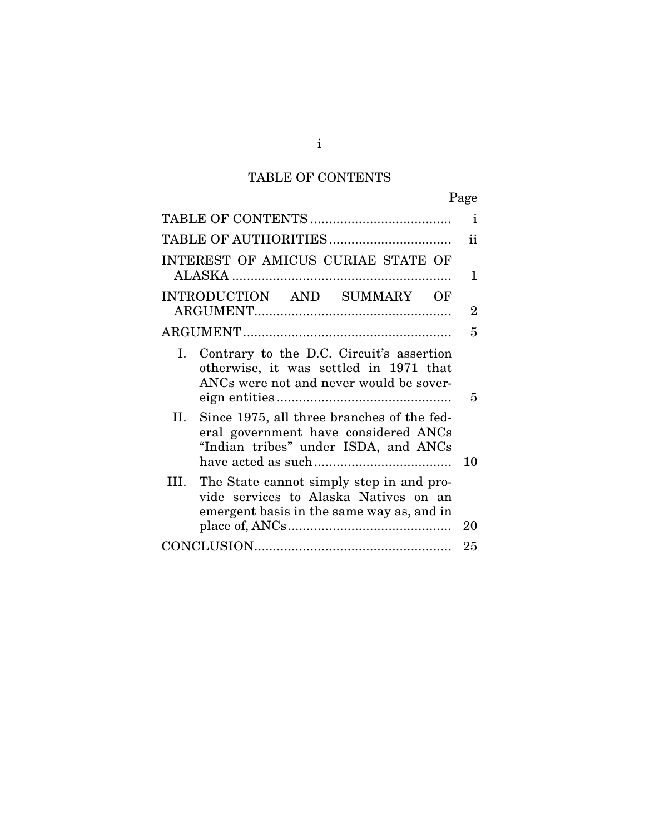# TABLE OF CONTENTS

|                                                                                                                                      | Page         |  |
|--------------------------------------------------------------------------------------------------------------------------------------|--------------|--|
|                                                                                                                                      | $\mathbf{I}$ |  |
|                                                                                                                                      | ii           |  |
| INTEREST OF AMICUS CURIAE STATE OF                                                                                                   | 1            |  |
| INTRODUCTION AND SUMMARY OF                                                                                                          | 2            |  |
|                                                                                                                                      | 5            |  |
| Contrary to the D.C. Circuit's assertion<br>I.<br>otherwise, it was settled in 1971 that<br>ANCs were not and never would be sover-  | 5            |  |
| Since 1975, all three branches of the fed-<br>II.<br>eral government have considered ANCs<br>"Indian tribes" under ISDA, and ANCs    | 10           |  |
| The State cannot simply step in and pro-<br>Ш.<br>vide services to Alaska Natives on an<br>emergent basis in the same way as, and in | 20           |  |
|                                                                                                                                      |              |  |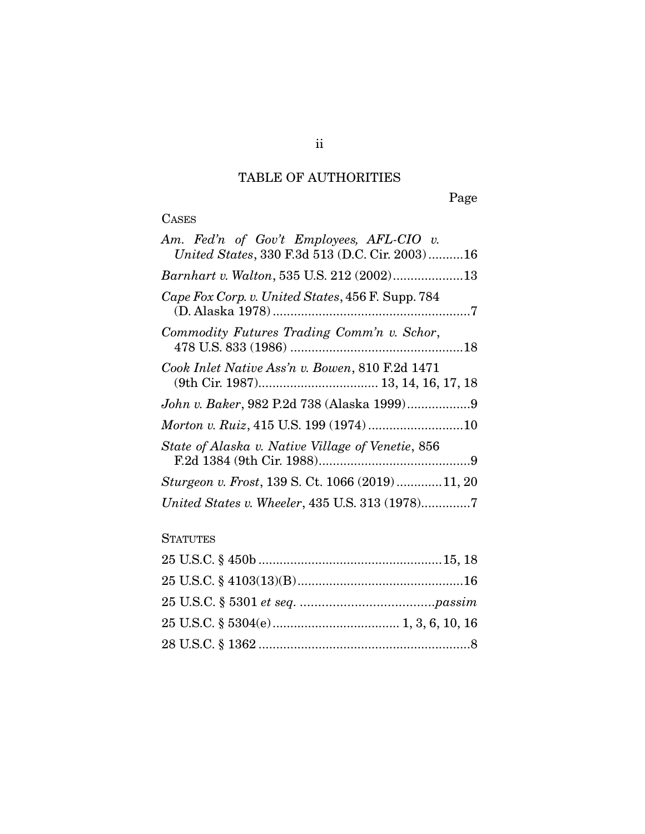## TABLE OF AUTHORITIES

Page

# **CASES**

| Am. Fed'n of Gov't Employees, AFL-CIO v.          |
|---------------------------------------------------|
| United States, 330 F.3d 513 (D.C. Cir. 2003)16    |
| Barnhart v. Walton, 535 U.S. 212 (2002)13         |
| Cape Fox Corp. v. United States, 456 F. Supp. 784 |
| Commodity Futures Trading Comm'n v. Schor,        |
| Cook Inlet Native Ass'n v. Bowen, 810 F.2d 1471   |
|                                                   |
|                                                   |
| State of Alaska v. Native Village of Venetie, 856 |
| Sturgeon v. Frost, 139 S. Ct. 1066 (2019)11, 20   |
| United States v. Wheeler, 435 U.S. 313 (1978)7    |

### **STATUTES**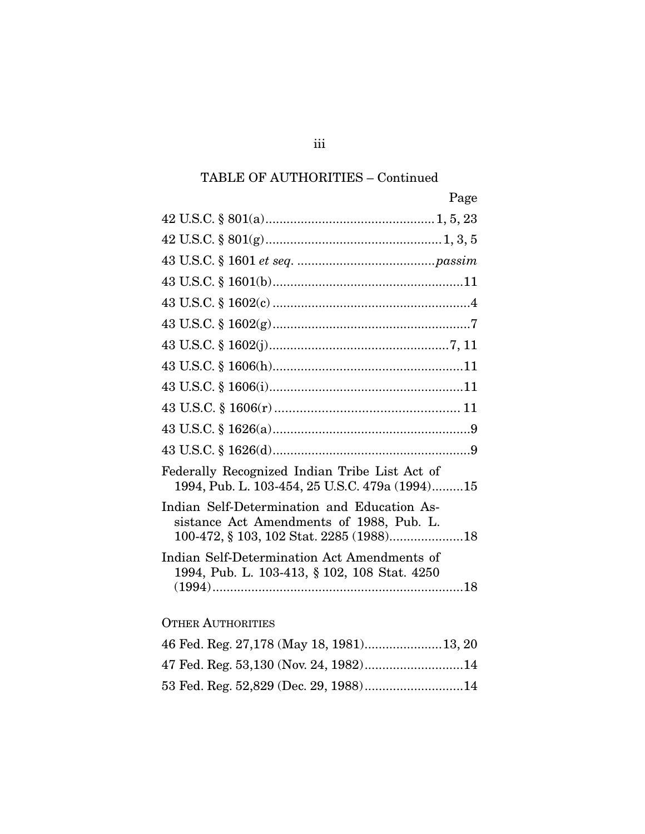## TABLE OF AUTHORITIES – Continued

| Page                                                                                                                               |
|------------------------------------------------------------------------------------------------------------------------------------|
|                                                                                                                                    |
|                                                                                                                                    |
|                                                                                                                                    |
|                                                                                                                                    |
|                                                                                                                                    |
|                                                                                                                                    |
|                                                                                                                                    |
|                                                                                                                                    |
|                                                                                                                                    |
|                                                                                                                                    |
|                                                                                                                                    |
|                                                                                                                                    |
| Federally Recognized Indian Tribe List Act of<br>1994, Pub. L. 103-454, 25 U.S.C. 479a (1994)15                                    |
| Indian Self-Determination and Education As-<br>sistance Act Amendments of 1988, Pub. L.<br>100-472, § 103, 102 Stat. 2285 (1988)18 |
| Indian Self-Determination Act Amendments of<br>1994, Pub. L. 103-413, § 102, 108 Stat. 4250                                        |
|                                                                                                                                    |
| <b>OTHER AUTHORITIES</b>                                                                                                           |
|                                                                                                                                    |
| 47 Fed. Reg. 53,130 (Nov. 24, 1982)14                                                                                              |
| 53 Fed. Reg. 52,829 (Dec. 29, 1988)14                                                                                              |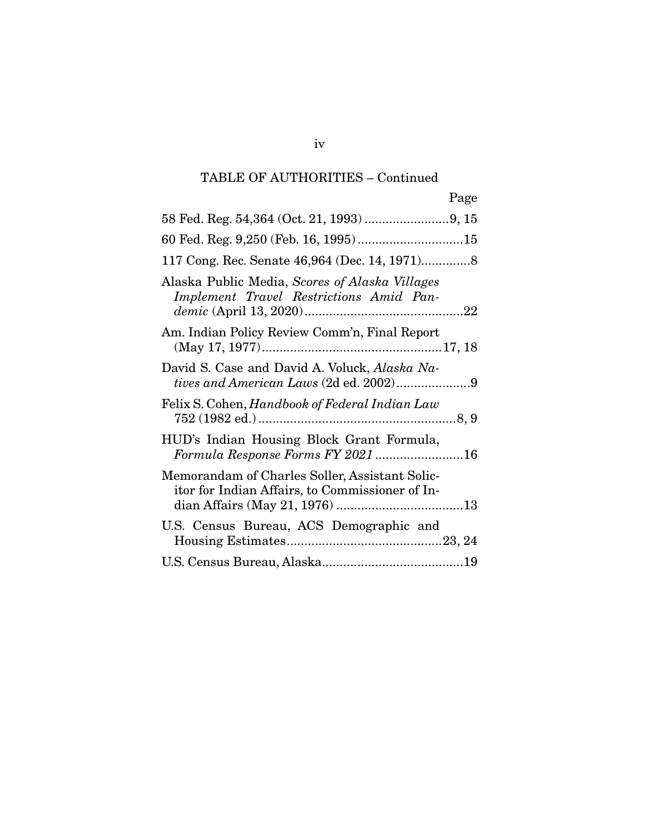## TABLE OF AUTHORITIES – Continued

|                                                                                                   | Page |
|---------------------------------------------------------------------------------------------------|------|
|                                                                                                   |      |
|                                                                                                   |      |
|                                                                                                   |      |
| Alaska Public Media, Scores of Alaska Villages<br>Implement Travel Restrictions Amid Pan-         |      |
| Am. Indian Policy Review Comm'n, Final Report                                                     |      |
| David S. Case and David A. Voluck, Alaska Na-<br>tives and American Laws (2d ed. 2002)9           |      |
| Felix S. Cohen, Handbook of Federal Indian Law                                                    |      |
| HUD's Indian Housing Block Grant Formula,<br>Formula Response Forms FY 2021 16                    |      |
| Memorandam of Charles Soller, Assistant Solic-<br>itor for Indian Affairs, to Commissioner of In- |      |
| U.S. Census Bureau, ACS Demographic and                                                           |      |
|                                                                                                   |      |

iv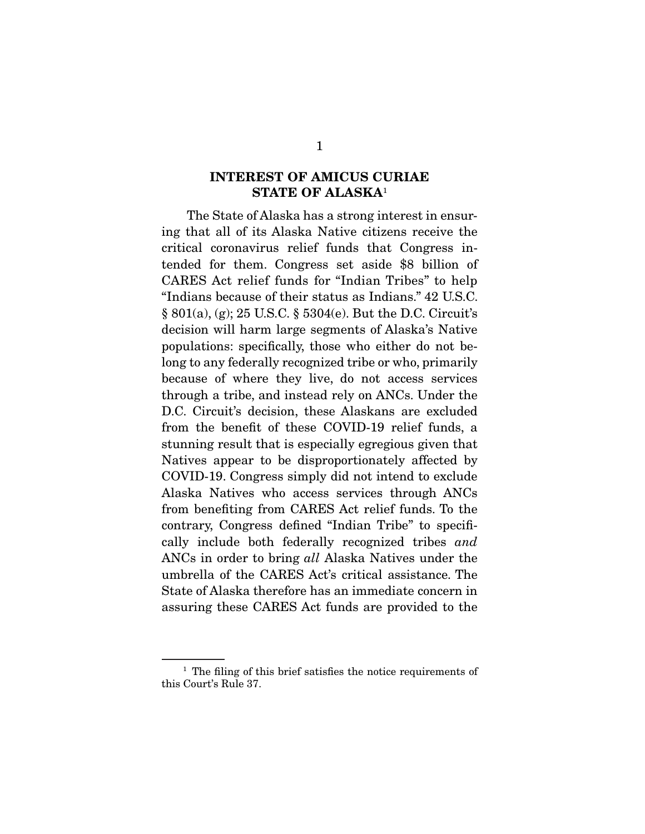### **INTEREST OF AMICUS CURIAE STATE OF ALASKA**1

The State of Alaska has a strong interest in ensuring that all of its Alaska Native citizens receive the critical coronavirus relief funds that Congress intended for them. Congress set aside \$8 billion of CARES Act relief funds for "Indian Tribes" to help "Indians because of their status as Indians." 42 U.S.C.  $\S 801(a), (g); 25 \text{ U.S.C.} \S 5304(e)$ . But the D.C. Circuit's. decision will harm large segments of Alaska's Native populations: specifically, those who either do not belong to any federally recognized tribe or who, primarily because of where they live, do not access services through a tribe, and instead rely on ANCs. Under the D.C. Circuit's decision, these Alaskans are excluded from the benefit of these COVID-19 relief funds, a stunning result that is especially egregious given that Natives appear to be disproportionately affected by COVID-19. Congress simply did not intend to exclude Alaska Natives who access services through ANCs from benefiting from CARES Act relief funds. To the contrary, Congress defined "Indian Tribe" to specifically include both federally recognized tribes and<br>ANCs in order to bring all Alaska Natives under the ANCs in order to bring all Alaska Natives under the umbrella of the CARES Act's critical assistance. The State of Alaska therefore has an immediate concern in  $\frac{1}{\sqrt{1-\frac{1}{\sqrt{1-\frac{1}{\sqrt{1-\frac{1}{\sqrt{1-\frac{1}{\sqrt{1-\frac{1}{\sqrt{1-\frac{1}{\sqrt{1-\frac{1}{\sqrt{1-\frac{1}{\sqrt{1-\frac{1}{\sqrt{1-\frac{1}{\sqrt{1-\frac{1}{\sqrt{1-\frac{1}{\sqrt{1-\frac{1}{\sqrt{1-\frac{1}{\sqrt{1-\frac{1}{\sqrt{1-\frac{1}{\sqrt{1-\frac{1}{\sqrt{1-\frac{1}{\sqrt{1-\frac{1}{\sqrt{1-\frac{1}{\sqrt{1-\frac{1}{\sqrt{1-\frac{1}{\sqrt{1-\frac{1}{\sqrt{1-\frac{1$ assuring the case  $\mathbf{C}$  and  $\mathbf{C}$  funds are provided to the provided to the provided to the provided to the provided to the provided to the provided to the provided to the provided to the provided to the provided to

 $1$  The filing of this brief satisfies the notice requirements of this Court's Rule 37. this Court's Rule 37.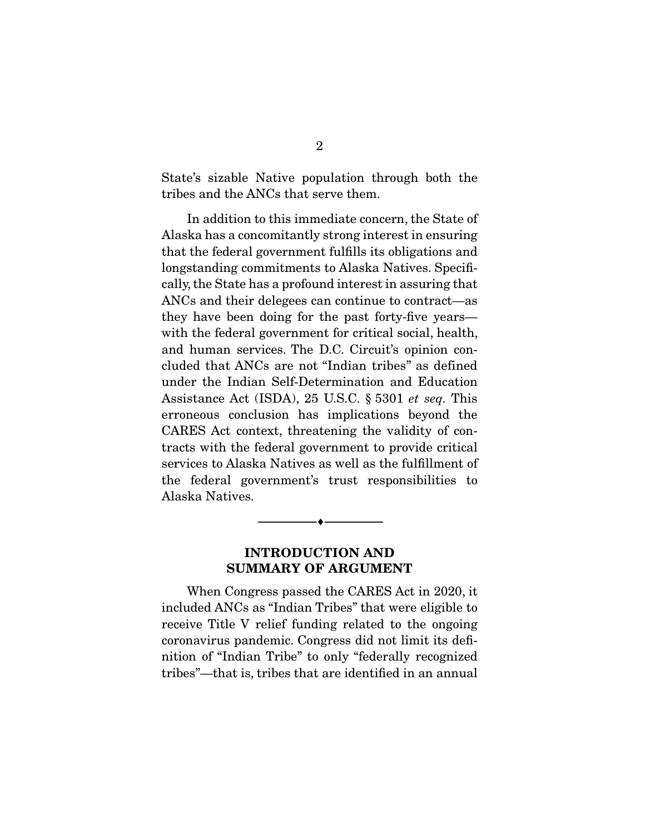State's sizable Native population through both the tribes and the ANCs that serve them. tribes and the ANCs that serve them.

In addition to this immediate concern, the State of Alaska has a concomitantly strong interest in ensuring that the federal government fulfills its obligations and longstanding commitments to Alaska Natives. Specifically, the State has a profound interest in assuring that ANCs and their delegees can continue to contract—as they have been doing for the past forty-five years with the federal government for critical social, health, and human services. The D.C. Circuit's opinion concluded that ANCs are not "Indian tribes" as defined under the Indian Self-Determination and Education Assistance Act (ISDA),  $25$  U.S.C.  $\S 5301$  *et seq.* This erroneous conclusion has implications beyond the CARES Act context, threatening the validity of contracts with the federal government to provide critical services to Alaska Natives as well as the fulfillment of the federal government's trust responsibilities to Alaska Natives. Alaska Natives.

#### **INTRODUCTION AND SUMMARY OF ARGUMENT**

 $\overbrace{\hspace{2.5cm}}$   $\overbrace{\hspace{2.5cm}}$ 

When Congress passed the CARES Act in 2020, it included ANCs as "Indian Tribes" that were eligible to receive Title V relief funding related to the ongoing coronavirus pandemic. Congress did not limit its definition of "Indian Tribe" to only "federally recognized tribes"—that is, tribes that are identified in an annual tribes"—that is, tribes that are identified in an annual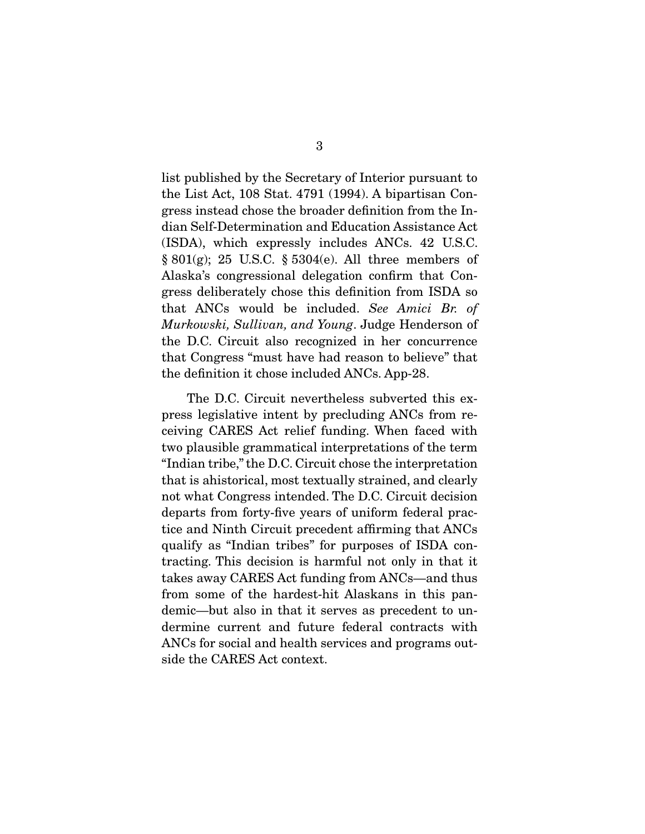list published by the Secretary of Interior pursuant to the List Act, 108 Stat. 4791 (1994). A bipartisan Congress instead chose the broader definition from the Indian Self-Determination and Education Assistance Act  $(ISDA)$ , which expressly includes ANCs. 42 U.S.C.  $\S 801(g)$ ; 25 U.S.C.  $\S 5304(e)$ . All three members of Alaska's congressional delegation confirm that Congress deliberately chose this definition from ISDA so  $g$  that ANCs would be included. See Amici Br. of  $M$ urbouchi Sullivan and Young Indee Hondorson of Murkowski, Sullivan, and Young. Judge Henderson of the D.C. Circuit also recognized in her concurrence that Congress "must have had reason to believe" that  $t_{\rm hot}$  congress "must have had reason to believe" that the definition it chose included ANCs. App-28.

The D.C. Circuit nevertheless subverted this express legislative intent by precluding ANCs from receiving CARES Act relief funding. When faced with two plausible grammatical interpretations of the term "Indian tribe," the D.C. Circuit chose the interpretation that is ahistorical, most textually strained, and clearly not what Congress intended. The D.C. Circuit decision departs from forty-five years of uniform federal practice and Ninth Circuit precedent affirming that ANCs qualify as "Indian tribes" for purposes of ISDA contracting. This decision is harmful not only in that it takes away CARES Act funding from ANCs—and thus from some of the hardest-hit Alaskans in this pandemic—but also in that it serves as precedent to undermine current and future federal contracts with ANCs for social and health services and programs outside the CARES Act context. side the CARES Act context.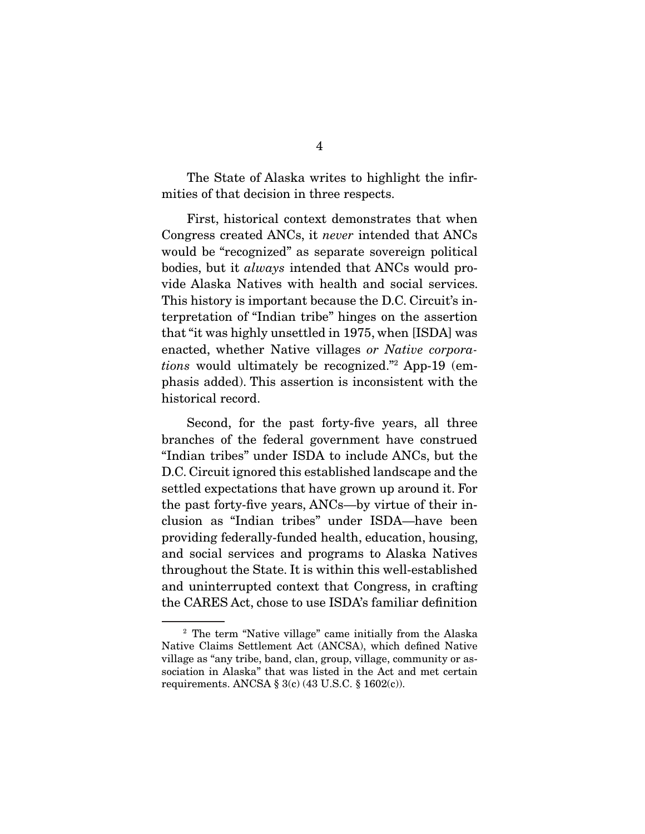$T_{\text{max}}$  of that docision in three respects mities of that decision in three respects.

Congress created ANCs, it *never* intended that ANCs bodies, but it *always* intended that ANCs would provide Alaska Natives with health and social services. terpretation of "Indian tribe" hinges on the assertion that "it was highly unsettled in 1975, when [ISDA] was enacted, whether Native villages or Native corpora-<br>tions would ultimately be recognized."<sup>2</sup> App 19 (cm) tions would ultimately be recognized."<sup>2</sup> App-19 (emphasis added). This assertion is inconsistent with the historical record. here the cordination of the cordination  $\mathcal{L}$ 

Second, for the past forty-five years, all three branches of the federal government have construed "Indian tribes" under ISDA to include ANCs, but the D.C. Circuit ignored this established landscape and the settled expectations that have grown up around it. For the past forty-five years, ANCs—by virtue of their inclusion as "Indian tribes" under ISDA-have been providing federally-funded health, education, housing, and social services and programs to Alaska Natives throughout the State. It is within this well-established and uninterrupted context that Congress, in crafting the CARES Act, chose to use ISDA's familiar definition  $\mathcal{L}$  the CARES Act, chose to use ISDA's familiar definition  $\mathcal{L}$ 

<sup>&</sup>lt;sup>2</sup> The term "Native village" came initially from the Alaska<br>Native Claims Settlement Act (ANCSA), which defined Native village as "any tribe, band, clan, group, village, community or association in Alaska" that was listed in the Act and met certain requirements. ANCSA  $\S 3(c)$  (43 U.S.C.  $\S 1602(c)$ ).  $\overline{a}$  ,  $\overline{a}$  and  $\overline{a}$  and  $\overline{a}$  and  $\overline{a}$  is  $\overline{a}$ .  $\overline{a}$  (c) (43 U.S.C.  $\overline{a}$  U.S.C.  $\overline{a}$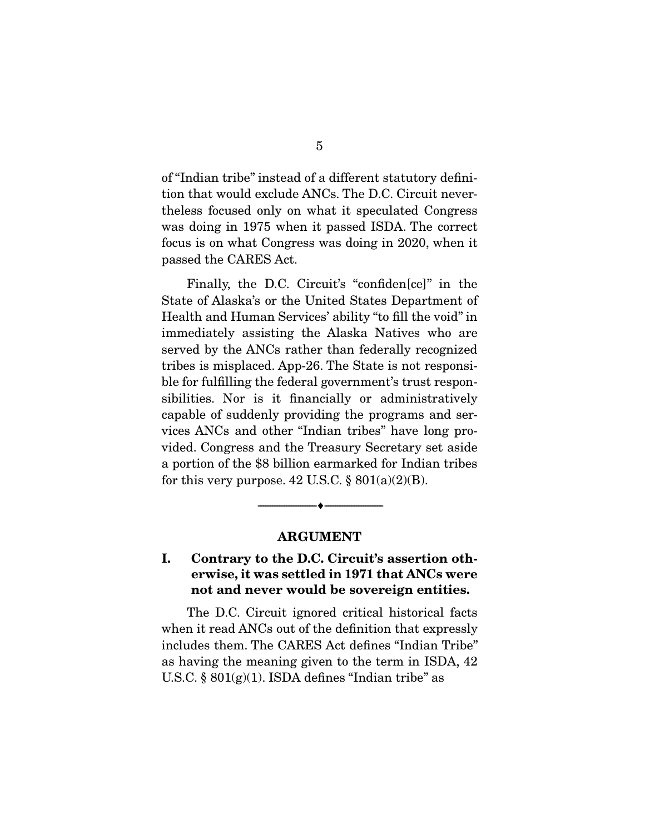of "Indian tribe" instead of a different statutory definithe less focused only on what it speculated Congress. was doing in 1975 when it passed ISDA. The correct focus is on what Congress was doing in 2020, when it  $f_{\text{p}}$  is on  $\mathbb{C}$   $\Lambda$   $\mathbb{R}$   $\mathbb{R}$   $\Lambda$  at passed the CARES Act.

Finally, the D.C. Circuit's "confiden[ce]" in the State of Alaska's or the United States Department of Health and Human Services' ability "to fill the void" in immediately assisting the Alaska Natives who are served by the ANCs rather than federally recognized tribes is misplaced. App-26. The State is not responsible for fulfilling the federal government's trust responsibilities. Nor is it financially or administratively capable of suddenly providing the programs and services ANCs and other "Indian tribes" have long provided. Congress and the Treasury Secretary set aside a portion of the \$8 billion earmarked for Indian tribes for this very purpose  $\angle 49$  IIS C  $\angle 8$  801(a)(9)(R) for this very purpose.  $\mathbf{S} = \mathbf{S} \times \mathbf{S}$ .

#### **ARGUMENT**

 $\overbrace{\hspace{2.5cm}}$   $\overbrace{\hspace{2.5cm}}$ 

### **I. Contrary to the D.C. Circuit's assertion otherwise, it was settled in 1971 that ANCs were not and never would be sovereign entities.**

The D.C. Circuit ignored critical historical facts<br>when it read ANCs out of the definition that expressly includes them. The CARES Act defines "Indian Tribe" as having the meaning given to the term in ISDA, 42 U.S.C.  $\S 801(g)(1)$ . ISDA defines "Indian tribe" as  $U(x) = \frac{1}{2}$ .  $U(x) = \frac{1}{2}$ . ISDA defines the second tribe  $U(x)$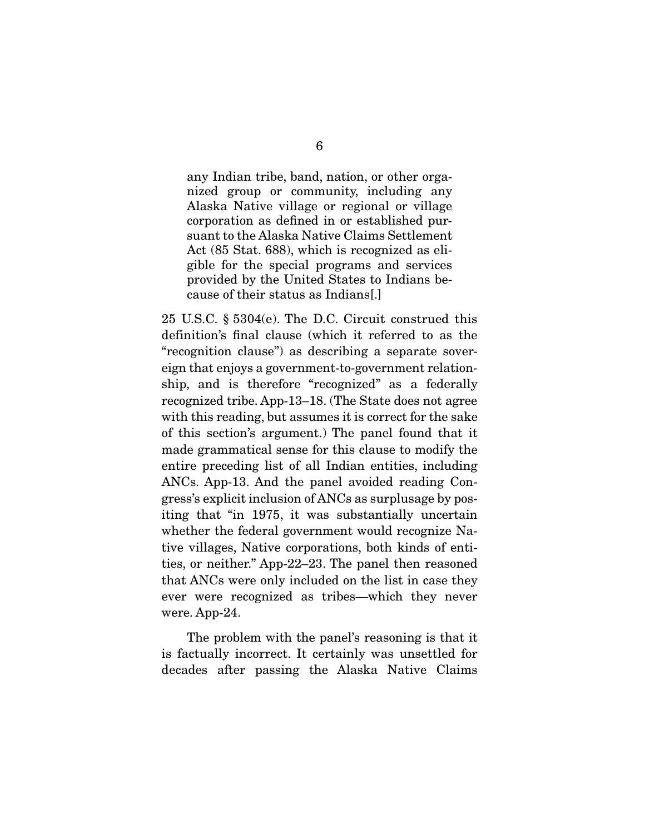any Indian tribe, band, nation, or other orga-<br>nized group or community, including any Alaska Native village or regional or village corporation as defined in or established pursuant to the Alaska Native Claims Settlement Act (85 Stat. 688), which is recognized as eligible for the special programs and services provided by the United States to Indians because of their status as Indians [.] cause of their status as Indians<sub>[.]</sub>

25 U.S.C.  $\S$  5304(e). The D.C. Circuit construed this definition's final clause (which it referred to as the "recognition clause" as describing a separate sovereign that enjoys a government-to-government relationship, and is therefore "recognized" as a federally recognized tribe. App-13–18. (The State does not agree with this reading, but assumes it is correct for the sake of this section's argument.) The panel found that it made grammatical sense for this clause to modify the entire preceding list of all Indian entities, including ANCs. App-13. And the panel avoided reading Congress's explicit inclusion of ANCs as surplusage by positing that "in 1975, it was substantially uncertain whether the federal government would recognize Native villages, Native corporations, both kinds of entities, or neither." App-22–23. The panel then reasoned that ANCs were only included on the list in case they ever were recognized as tribes—which they never  $\frac{m}{2}$ were. App-24.

The problem with the panel's reasoning is that it is factually incorrect. It certainly was unsettled for  $\frac{1}{2}$  factors  $\frac{1}{2}$  incorrect. It can be under the form of  $\frac{1}{2}$  and  $\frac{1}{2}$  and  $\frac{1}{2}$  and  $\frac{1}{2}$  and  $\frac{1}{2}$  and  $\frac{1}{2}$  and  $\frac{1}{2}$  and  $\frac{1}{2}$  and  $\frac{1}{2}$  and  $\frac{1}{2}$  and  $\frac{1}{2}$  and decades after passing the Alaska Native Claims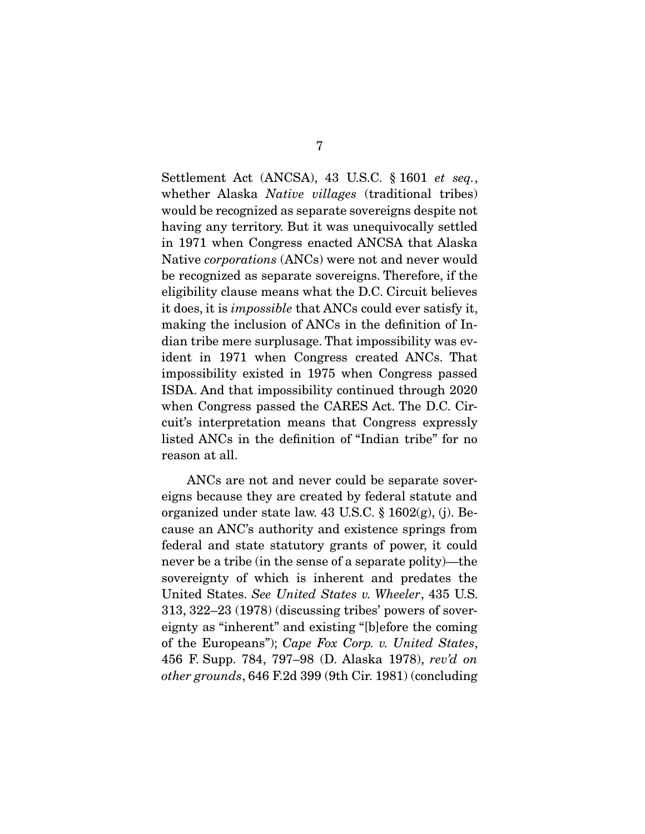Settlement Act (ANCSA), 43 U.S.C. § 1601 et seq., whether Alaska *Native villages* (traditional tribes)<br>would be recognized as separate sovereigns despite not having any territory. But it was unequivocally settled in 1971 when Congress enacted ANCSA that Alaska Native *corporations* (ANCs) were not and never would be recognized as separate sovereigns. Therefore, if the eligibility clause means what the D.C. Circuit believes it does, it is *impossible* that ANCs could ever satisfy it,<br>making the inclusion of ANCs in the definition of In making the inclusion of ANCs in the definition of Indian tribe mere surplusage. That impossibility was evident in 1971 when Congress created ANCs. That impossibility existed in 1975 when Congress passed ISDA. And that impossibility continued through 2020 when Congress passed the CARES Act. The D.C. Circuit's interpretation means that Congress expressly listed ANCs in the definition of "Indian tribe" for no reason at all. reason at all.

ANCs are not and never could be separate sover-<br>eigns because they are created by federal statute and organized under state law. 43 U.S.C.  $\S$  1602 $(g)$ , (j). Because an ANC's authority and existence springs from federal and state statutory grants of power, it could never be a tribe (in the sense of a separate polity)—the sover eignty of which is inherent and predates the United States. See United States v. Wheeler, 435 U.S. 313, 322–23 (1978) (discussing tribes' powers of soverof the Europeans"); Cape Fox Corp. v. United States,<br>456 E.Supp. 784, 797, 98 (D. Aleska, 1978), rav'd on 456 F. Supp. 784, 797–98 (D. Alaska 1978), rev'd on other grounds, 646 F.2d 399 (9th Cir. 1981) (concluding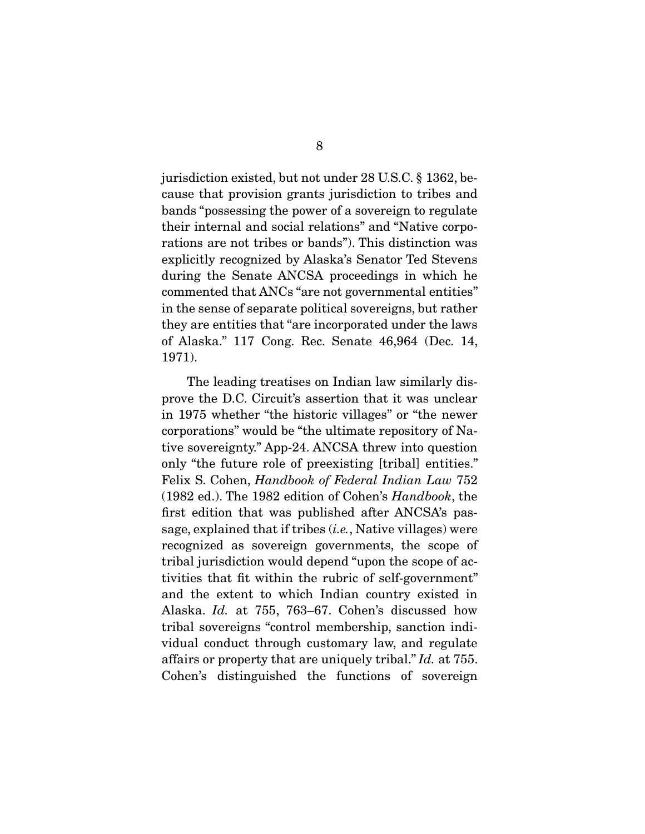jurisdiction existed, but not under 28 U.S.C. § 1362, be-<br>cause that provision grants jurisdiction to tribes and bands "possessing the power of a sovereign to regulate their internal and social relations" and "Native corporations are not tribes or bands"). This distinction was explicitly recognized by Alaska's Senator Ted Stevens during the Senate ANCSA proceedings in which he commented that ANCs "are not governmental entities" in the sense of separate political sovereigns, but rather they are entities that "are incorporated under the laws" of Alaska"  $117$  Cong Ree Senate 46.964 (Dec 14)  $(1071)$  $\overline{\phantom{a}}$ 

The leading treatises on Indian law similarly disprove the D.C. Circuit's assertion that it was unclear in 1975 whether "the historic villages" or "the newer" corporations" would be "the ultimate repository of Native sovereignty." App-24. ANCSA threw into question only "the future role of preexisting [tribal] entities." Felix S. Cohen, Handbook of Federal Indian Law 752 (1982 ed.). The 1982 edition of Cohen's  $Handbook$ , the first edition that was published after ANCSA's passage, explained that if tribes  $(i.e.,$  Native villages) were recognized as sovereign governments, the scope of tribal jurisdiction would depend "upon the scope of activities that fit within the rubric of self-government" and the extent to which Indian country existed in and the extent to which Indian country extent in<br>Alaska. Id. at 755, 763–67. Cohen's discussed how<br>tribal sovereigns "control membership sanction inditribal sovereigns "control membership, sanction indiaffairs or property that are uniquely tribal."  $Id$ . at 755.<br>Cohon's distinguished the functions of soveroim. Cohen's distinguished the functions of sovereign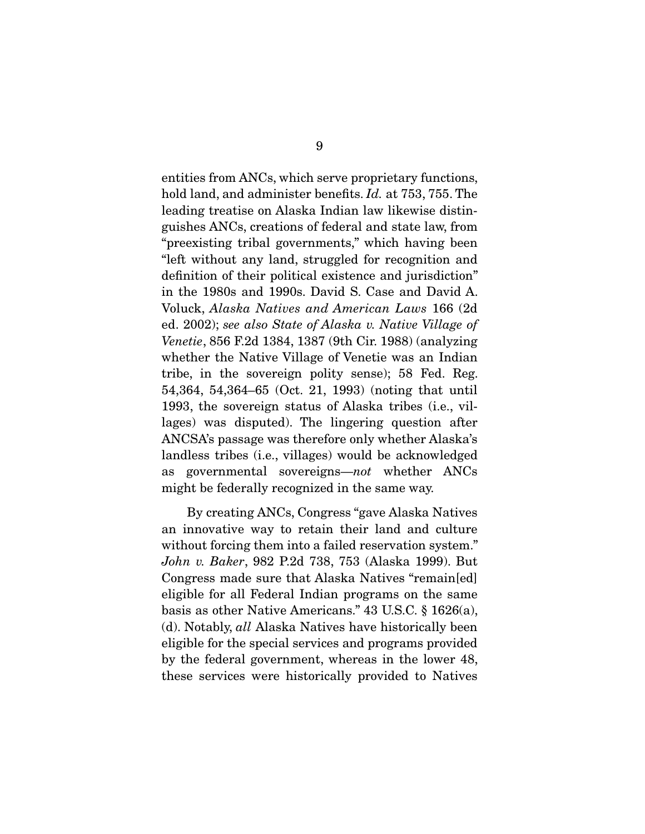hold land, and administer benefits.  $Id$ . at 753, 755. The leading treatise on Alaska Indian law likewise distinguishes ANCs, creations of federal and state law, from "preexisting tribal governments," which having been "left without any land, struggled for recognition and definition of their political existence and jurisdiction" in the 1980s and 1990s. David S. Case and David A. Voluck, Alaska Natives and American Laws 166 (2d<br>
od. 2002): see also State of Alaska v. Native Village of ed. 2002); see also State of Alaska v. Native Village of Venetie, 856 F.2d 1384, 1387 (9th Cir. 1988) (analyzing tribe, in the sovereign polity sense); 58 Fed. Reg. 54,364, 54,364–65 (Oct. 21, 1993) (noting that until 1993, the sovereign status of Alaska tribes (i.e., villages) was disputed). The lingering question after ANCSA's passage was therefore only whether Alaska's landless tribes (i.e., villages) would be acknowledged as governmental sovereigns—not whether ANCs<br>might be folorally recognized in the same way  $\sigma$  for the same way.

 By creating ANCs, Congress "gave Alaska Natives without forcing them into a failed reservation system." without forcing them into a failed reservation system." John v. Baker, 982 P.2d 738, 753 (Alaska 1999). But Congress made sure that Alaska Natives "remain[ed]<br>eligible for all Federal Indian programs on the same basis as other Native Americans."  $43$  U.S.C.  $\S$  1626(a), (d). Notably,  $all$  Alaska Natives have historically been cligible for the special services and programs previded. eligible for the special services and programs provided<br>by the federal government, whereas in the lower 48,  $\mathbf{F}_{\text{base}}$  government, whereas in the lower  $\mathbf{F}_{\text{base}}$ these services were distributed to  $\mathbf{y} \cdot \mathbf{p}$  and the Natives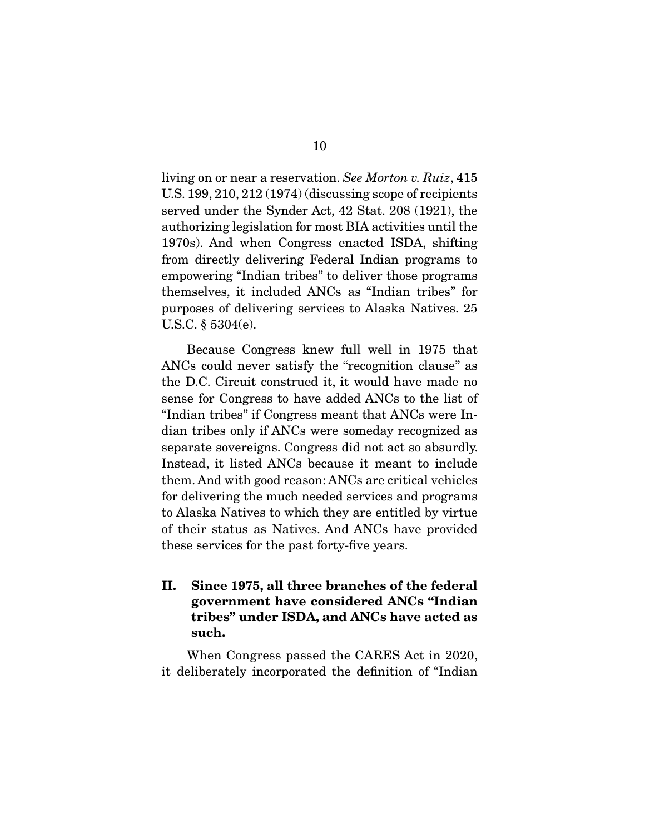living on or near a reservation. See Morton v. Ruiz, 415<br>U.S. 199, 210, 212 (1974) (discussing scope of recipients served under the Synder Act, 42 Stat. 208 (1921), the authorizing legislation for most BIA activities until the 1970s). And when Congress enacted ISDA, shifting from directly delivering Federal Indian programs to empowering "Indian tribes" to deliver those programs themselves, it included ANCs as "Indian tribes" for purposes of delivering services to Alaska Natives. 25 U.S.C.  $\S 5304(e)$ .  $\mathbf{y}$  ,  $\mathbf{y}$  ,  $\mathbf{y}$ 

Because Congress knew full well in 1975 that ANCs could never satisfy the "recognition clause" as the D.C. Circuit construed it, it would have made no sense for Congress to have added ANCs to the list of "Indian tribes" if Congress meant that ANCs were Indian tribes only if ANCs were someday recognized as separate sovereigns. Congress did not act so absurdly. Instead, it listed ANCs because it meant to include them. And with good reason: ANCs are critical vehicles for delivering the much needed services and programs to Alaska Natives to which they are entitled by virtue of their status as Natives. And ANCs have provided these services for the past forty-five years.  $t_{\text{max}}$  services for the past forty-five  $\sum_{i=1}^{n}$ 

**II. Since 1975, all three branches of the federal government have considered ANCs "Indian tribes" under ISDA, and ANCs have acted as such.** 

 $\mathcal{L}$  deliberately incorporated the definition of "Indian"  $\cdots$  deliberately incorporated the definition of "Indian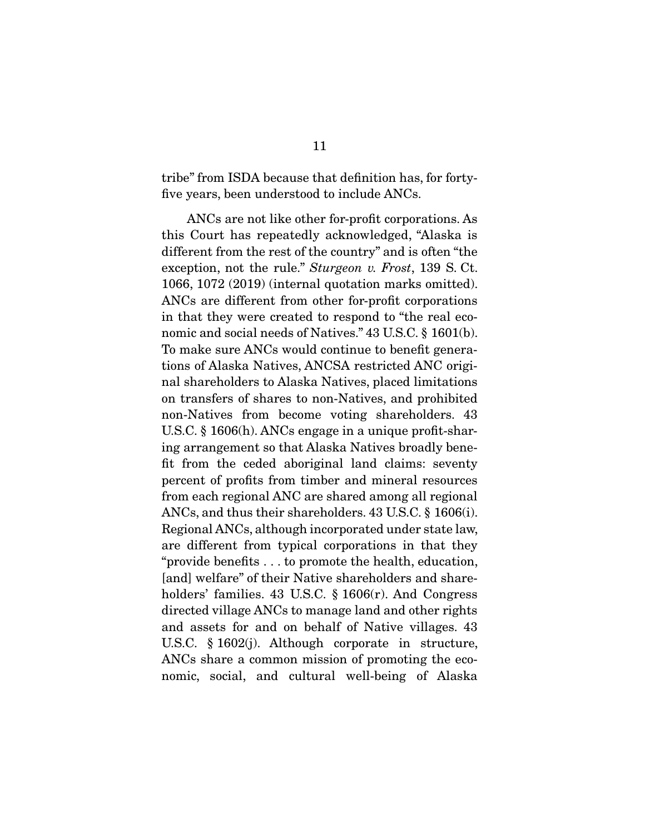$\frac{1}{2}$  five years been understood to include  $\Delta N C_5$ five years, been understood to include ANCs.

ANCs are not like other for-profit corporations. As<br>this Court has repeatedly acknowledged, "Alaska is different from the rest of the country" and is often "the exception, not the rule." Sturgeon v. Frost, 139 S. Ct.<br>1066 1079 (2019) (internal quotation marks emitted) 1066, 1072 (2019) (internal quotation marks omitted). in that they were created to respond to "the real economic and social needs of Natives."  $43$  U.S.C.  $\S$  1601(b). To make sure ANCs would continue to benefit generations of Alaska Natives, ANCSA restricted ANC original shareholders to Alaska Natives, placed limitations on transfers of shares to non-Natives, and prohibited non-Natives from become voting shareholders. 43 U.S.C.  $\S$  1606(h). ANCs engage in a unique profit-sharing arrangement so that Alaska Natives broadly benefit from the ceded aboriginal land claims: seventy percent of profits from timber and mineral resources from each regional ANC are shared among all regional ANCs, and thus their shareholders.  $43$  U.S.C.  $\S$  1606(i). Regional ANCs, although incorporated under state law, are different from typical corporations in that they "provide benefits  $\dots$  to promote the health, education, [and] welfare" of their Native shareholders and shareholders' families. 43 U.S.C.  $\S$  1606 $(r)$ . And Congress directed village ANCs to manage land and other rights and assets for and on behalf of Native villages.  $43$ U.S.C.  $\S$  1602(j). Although corporate in structure, ANCs share a common mission of promoting the eco- $\frac{1}{\sqrt{2}}$  shows show a common mission of Alaska now, social, and cultural well-being of  $\mathcal{L}$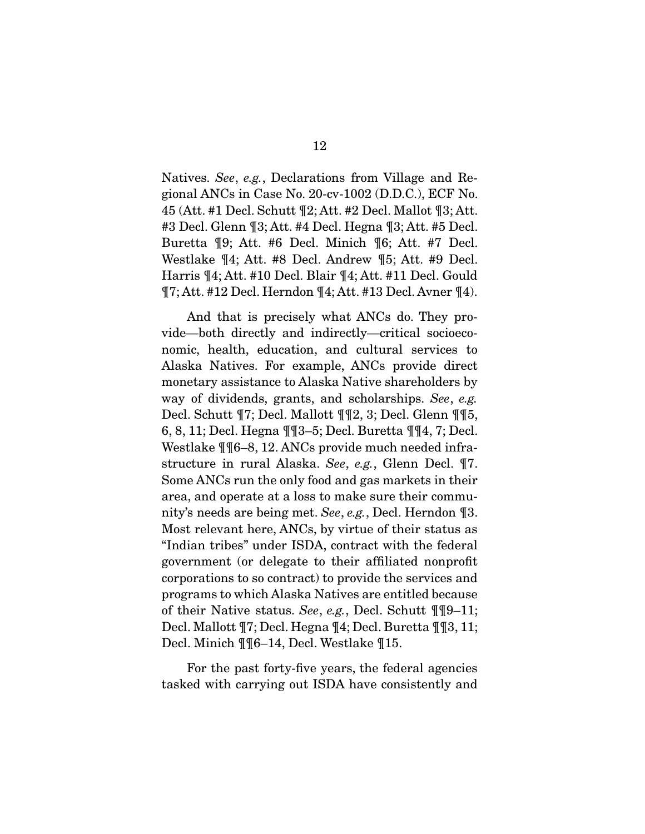Natives. See, e.g., Declarations from Village and Regional ANCs in Case No. 20-cv-1002 (D.D.C.), ECF No. 45 (Att. #1 Decl. Schutt  $\P2$ ; Att. #2 Decl. Mallot  $\P3$ ; Att.  $#3$  Decl. Glenn  $\P 3$ ; Att.  $#4$  Decl. Hegna  $\P 3$ ; Att.  $#5$  Decl. Buretta  $\P 9$ ; Att. #6 Decl. Minich  $\P 6$ ; Att. #7 Decl. Westlake  $\P 4$ ; Att. #8 Decl. Andrew  $\P 5$ ; Att. #9 Decl. Harris  $\P$ 4; Att. #10 Decl. Blair  $\P$ 4; Att. #11 Decl. Gould  $\frac{1}{4}$ <br> $\frac{1}{4}$ <br> $\frac{1}{4}$ <br> $\frac{1}{4}$ <br> $\frac{1}{4}$ <br> $\frac{1}{4}$ <br> $\frac{1}{4}$ <br> $\frac{1}{4}$ <br> $\frac{1}{4}$ <br> $\frac{1}{4}$ <br> $\frac{1}{4}$ <br> $\frac{1}{4}$ <br> $\frac{1}{4}$ <br> $\frac{1}{4}$ <br> $\frac{1}{4}$ <br> $\frac{1}{4}$ <br> $\frac{1}{4}$ <br> $\frac{1}{4}$ <br> $\frac{1}{4}$ <br> $\frac{1}{4}$ <br> $\frac{1}{4}$ <br> $\frac{1}{4}$ <br> $\mathbb{R}^2$ ; Att.  $\mathbb{R}^2$  decl. Here  $\mathbb{R}^2$  decl. At the  $\mathbb{R}^2$ .

And that is precisely what ANCs do. They provide—both directly and indirectly—critical socioeconomic, health, education, and cultural services to Alaska Natives. For example, ANCs provide direct monetary assistance to Alaska Native shareholders by way of dividends, grants, and scholarships. See, e.g.<br>Doel Schutt  $\P7$ : Doel Mollott  $\P\P9$  3: Doel Clonn  $\P$ Decl. Schutt  $\P$ 7; Decl. Mallott  $\P$  $\P$ 2, 3; Decl. Glenn  $\P$  $\P$ 5, 6, 8, 11; Decl. Hegna  $\P$  $\P$ 3–5; Decl. Buretta  $\P$  $\P$  $4$ , 7; Decl. Westlake  $\P$ [6–8, 12. ANCs provide much needed infra- $\frac{1}{n}$  and  $\frac{1}{n}$  is the contract of provide much needed in the structure in rural Alaska. See, e.g., Glenn Decl.  $\P$ 7.<br>Some ANCs run the enly food and ges markets in their Some ANCs run the only food and gas markets in their nity's needs are being met. See, e.g., Decl. Herndon ¶3.<br>Most relevant here ANCs by virtue of their status as Most relevant here, ANCs, by virtue of their status as government (or delegate to their affiliated nonprofit corporations to so contract) to provide the services and programs to which Alaska Natives are entitled because of their Native status. See, e.g., Decl. Schutt ¶¶9–11;<br>Decl. Mallott ¶7: Decl. Hegna ¶4: Decl. Buretta ¶¶9–11;  $\begin{bmatrix} 1 & 0 & 0 \\ 0 & 0 & 0 \end{bmatrix}$  Minich  $\begin{bmatrix} 0 & 0 \\ 0 & 1 \end{bmatrix}$   $\begin{bmatrix} 0 & 0 \\ 0 & 0 \end{bmatrix}$  Westle  $\begin{bmatrix} 0 & 0 \\ 0 & 1 \end{bmatrix}$  $\mathbb{R}$  and  $\mathbb{R}$  and  $\mathbb{R}$   $\mathbb{R}$  and  $\mathbb{R}$  are  $\mathbb{R}$ .

For the past forty-five years, the federal agencies tasked with carrying out ISDA have consistently and  $t_{\text{max}}$  with  $t_{\text{max}}$  on ISDA have consistently and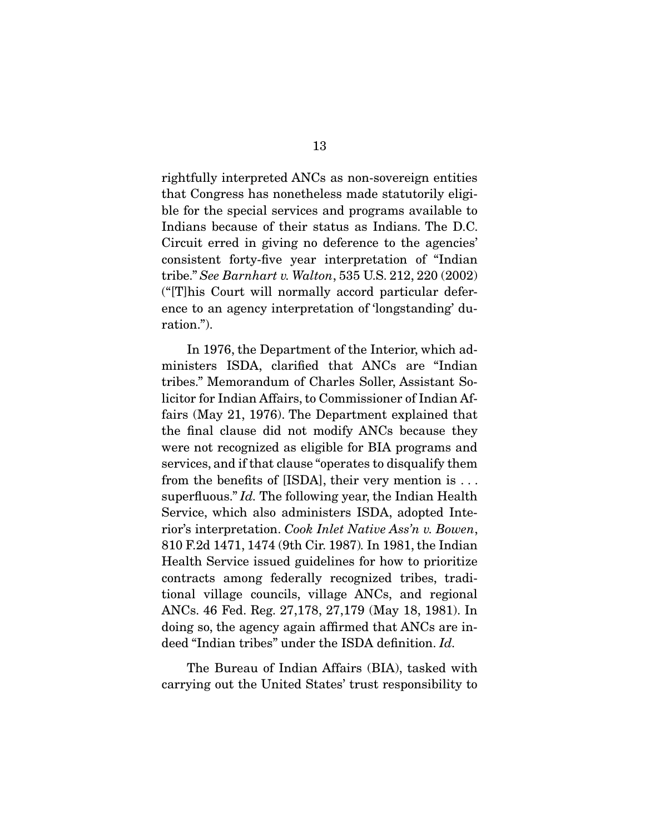rightfully interpreted ANCs as non-sovereign entities ble for the special services and programs available to Indians because of their status as Indians. The D.C. Circuit erred in giving no deference to the agencies' consistent forty-five year interpretation of "Indian tribe." See Barnhart v. Walton, 535 U.S. 212, 220 (2002)<br>"Indian Court will normally accord particular defer ("[T]his Court will normally accord particular defer- $\text{error}$  to an agency interpretation  $\sum_{i=1}^{n}$ ration.").

In 1976, the Department of the Interior, which ad-<br>ministers ISDA, clarified that ANCs are "Indian tribes." Memorandum of Charles Soller, Assistant Solicitor for Indian Affairs, to Commissioner of Indian Affairs (May 21, 1976). The Department explained that the final clause did not modify ANCs because they were not recognized as eligible for BIA programs and services, and if that clause "operates to disqualify them from the benefits of [ISDA], their very mention is  $\dots$ superfluous."  $Id$ . The following year, the Indian Health rior's interpretation. Cook Inlet Native Ass'n v. Bowen, 810 F.2d 1471, 1474 (9th Cir. 1987). In 1981, the Indian contracts among federally recognized tribes, traditional village councils, village ANCs, and regional ANCs. 46 Fed. Reg. 27,178, 27,179 (May 18, 1981). In doing so, the agency again affirmed that ANCs are indeed "Indian tribes" under the ISDA definition. Id.

The Bureau of Indian Affairs (BIA), tasked with carrying out the United States' trust responsibility to carrying out the United States' trust responsibility to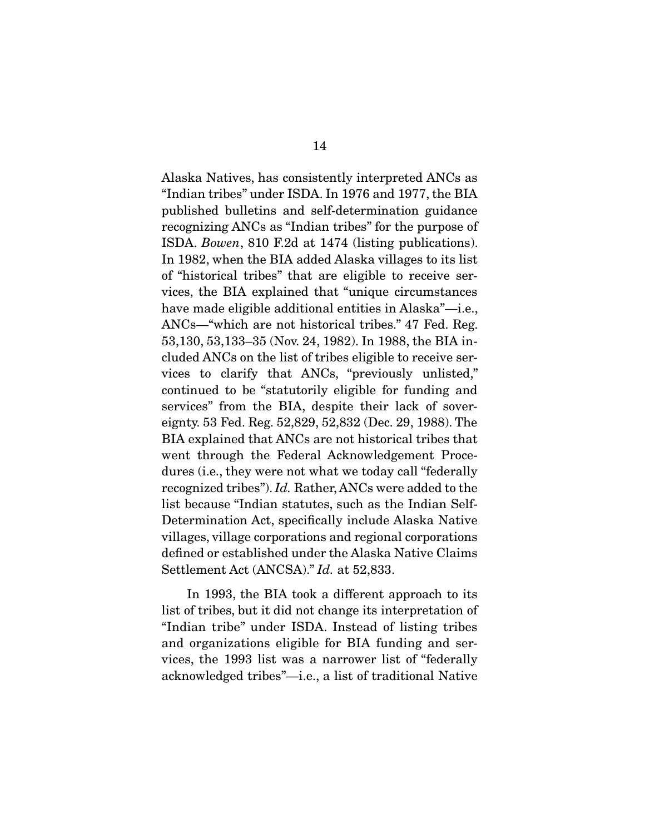Alaska Natives, has consistently interpreted ANCs as published bulletins and self-determination guidance recognizing ANCs as "Indian tribes" for the purpose of ISDA. Bowen, 810 F.2d at 1474 (listing publications). In 1982, when the BIA added Alaska villages to its list vices, the BIA explained that "unique circumstances" have made eligible additional entities in Alaska"—i.e., ANCs—"which are not historical tribes." 47 Fed. Reg. 53,130, 53,133-35 (Nov. 24, 1982). In 1988, the BIA included ANCs on the list of tribes eligible to receive services to clarify that ANCs, "previously unlisted," continued to be "statutorily eligible for funding and services" from the BIA, despite their lack of sovereignty. 53 Fed. Reg. 52,829, 52,832 (Dec. 29, 1988). The BIA explained that ANCs are not historical tribes that went through the Federal Acknowledgement Procedures (i.e., they were not what we today call "federally" recognized tribes"). Id. Rather, ANCs were added to the list because "Indian statutes, such as the Indian Selfvillages, village corporations and regional corporations defined or established under the Alaska Native Claims Settlement Act (ANCSA)." Id. at 52,833.

In 1993, the BIA took a different approach to its<br>list of tribes, but it did not change its interpretation of "Indian tribe" under ISDA. Instead of listing tribes and organizations eligible for BIA funding and services, the 1993 list was a narrower list of "federally"  $\frac{1}{2}$  a  $\frac{1}{2}$  list of traditional Native  $\mathcal{L}$  and  $\mathcal{L}$  and  $\mathcal{L}$  is the tribes of traditional Natives of traditional Natives of traditional Natives of the  $\mathcal{L}$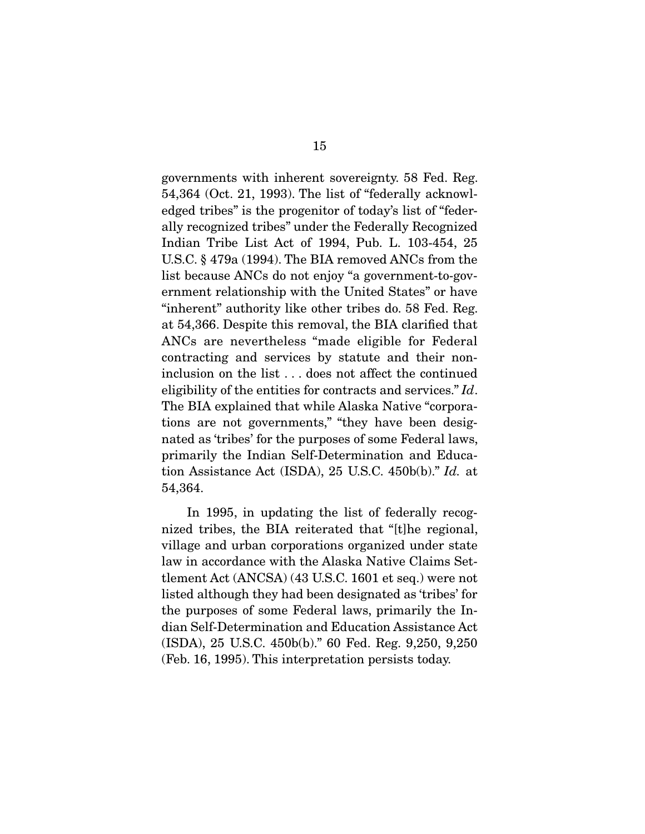governments with inherent sovereignty. 58 Fed. Reg. edged tribes" is the progenitor of today's list of "federally recognized tribes" under the Federally Recognized Indian Tribe List Act of 1994, Pub. L. 103-454, 25 U.S.C.  $\S$  479a (1994). The BIA removed ANCs from the list because ANCs do not enjoy "a government-to-government relationship with the United States" or have "inherent" authority like other tribes do. 58 Fed. Reg. at 54,366. Despite this removal, the BIA clarified that ANCs are nevertheless "made eligible for Federal contracting and services by statute and their noninclusion on the list  $\dots$  does not affect the continued eligibility of the entities for contracts and services." Id.<br>The BIA explained that while Alaska Native "corporal" The BIA explained that while Alaska Native "corporations are not governments," "they have been designated as 'tribes' for the purposes of some Federal laws, primarily the Indian Self-Determination and Education Assistance Act (ISDA), 25 U.S.C. 450b(b)." Id. at  $54.364$ 54,364.

In 1995, in updating the list of federally recognized tribes, the BIA reiterated that "[t] he regional, village and urban corporations organized under state law in accordance with the Alaska Native Claims Settlement Act  $(ANCSA)$   $(43$  U.S.C. 1601 et seq.) were not listed although they had been designated as 'tribes' for the purposes of some Federal laws, primarily the Indian Self-Determination and Education Assistance Act  $(ISDA)$ , 25 U.S.C. 450b(b)." 60 Fed. Reg. 9,250, 9,250  $(Fob 16 1005)$ . This intermetation persists today (Feb. 16, 1995). The interpretation persists today.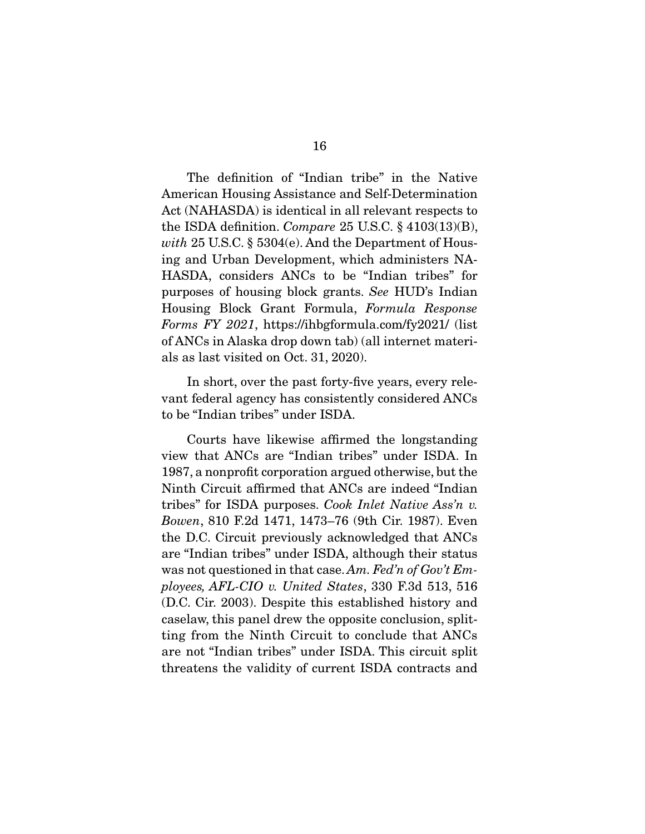The definition of "Indian tribe" in the Native<br>American Housing Assistance and Self-Determination Act (NAHASDA) is identical in all relevant respects to the ISDA definition. Compare 25 U.S.C.  $\S$  4103(13)(B), with 25 U.S.C.  $\S$  5304(c) And the Department of Hous with 25 U.S.C.  $\S$  5304(e). And the Department of Hous-<br>ing and Urban Development, which administers NA-HASDA, considers ANCs to be "Indian tribes" for purposes of housing block grants. See HUD's Indian Housing Block Grant Formula, Formula Response Forms FY 2021, https://ihbgformula.com/fy2021/ (list of ANCs in Alaska drop down tab) (all internet materi- $\alpha$ ls es lect visited en  $\Omega$ t 21 2020) als as last visited on  $\sim$  0.000  $\rightarrow$  0.000  $\rightarrow$ 

In short, over the past forty-five years, every relevant federal agency has consistently considered ANCs to be "Indian tribes" under ISDA. to be "Indian tribes" under ISDA.

 Courts have likewise affirmed the longstanding 1987, a nonprofit corporation argued otherwise, but the Ninth Circuit affirmed that ANCs are indeed "Indian tribes" for ISDA purposes. *Cook Inlet Native Ass'n v.*<br>Rowen 810 F.2d 1471 1473 76 (9th Cir. 1987). Fyon Bowen, 810 F.2d 1471, 1473–76 (9th Cir. 1987). Even the D.C. Circuit previously acknowledged that ANCs are "Indian tribes" under ISDA, although their status was not questioned in that case. Am. Fed'n of Gov't Employees, AFL-CIO v. United States, 330 F.3d 513, 516 (D.C. Cir. 2003). Despite this established history and caselaw, this panel drew the opposite conclusion, splitting from the Ninth Circuit to conclude that ANCs are not "Indian tribes" under ISDA. This circuit split  $\frac{1}{\sqrt{1-\frac{1}{\sqrt{1-\frac{1}{\sqrt{1-\frac{1}{\sqrt{1-\frac{1}{\sqrt{1-\frac{1}{\sqrt{1-\frac{1}{\sqrt{1-\frac{1}{\sqrt{1-\frac{1}{\sqrt{1-\frac{1}{\sqrt{1-\frac{1}{\sqrt{1-\frac{1}{\sqrt{1-\frac{1}{\sqrt{1-\frac{1}{\sqrt{1-\frac{1}{\sqrt{1-\frac{1}{\sqrt{1-\frac{1}{\sqrt{1-\frac{1}{\sqrt{1-\frac{1}{\sqrt{1-\frac{1}{\sqrt{1-\frac{1}{\sqrt{1-\frac{1}{\sqrt{1-\frac{1}{\sqrt{1-\frac{1}{\sqrt{1-\frac{1$ threatens the validity of current ISDA contracts and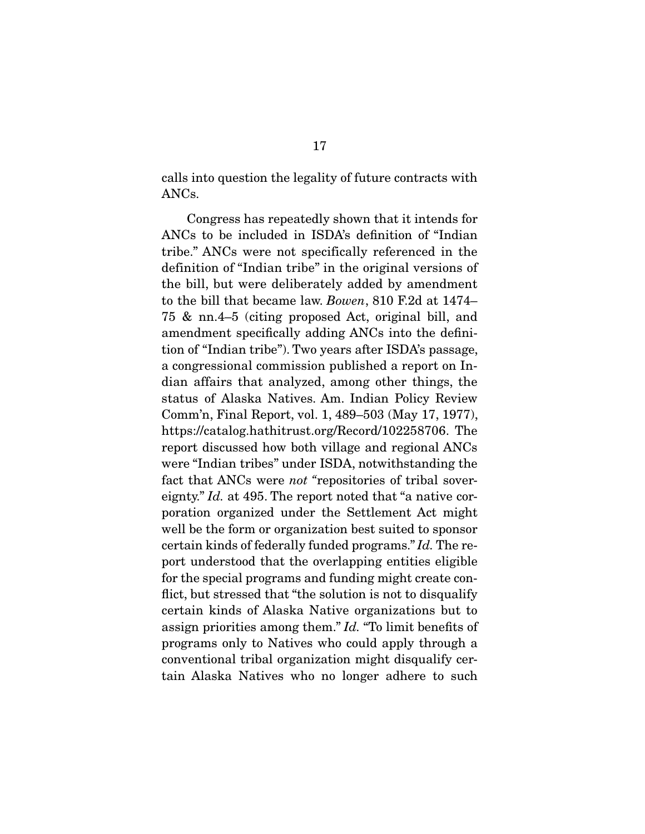calls into question the legality of future contracts with ANCs.

Congress has repeatedly shown that it intends for ANCs to be included in ISDA's definition of "Indian tribe." ANCs were not specifically referenced in the definition of "Indian tribe" in the original versions of the bill, but were deliberately added by amendment to the bill that became law. Bowen, 810 F.2d at 1474– 75 & nn.4–5 (citing proposed Act, original bill, and tion of "Indian tribe"). Two years after ISDA's passage, a congressional commission published a report on Indian affairs that analyzed, among other things, the status of Alaska Natives. Am. Indian Policy Review Comm'n, Final Report, vol. 1, 489–503 (May 17, 1977), https://catalog.hathitrust.org/Record/102258706. The report discussed how both village and regional ANCs were "Indian tribes" under ISDA, notwithstanding the fact that ANCs were *not* "repositories of tribal sover-<br>cignty"  $Id$  at 405. The report noted that "a native sereignty."  $Id$ . at 495. The report noted that "a native cor-<br>poration organized under the Settlement Act might well be the form or organization best suited to sponsor certain kinds of federally funded programs."  $Id$ . The re-<br>port understood that the everlepping entities eligible port understood that the overlapping entities eligible<br>for the special programs and funding might create conflict, but stressed that "the solution is not to disqualify" certain kinds of Alaska Native organizations but to assign priorities among them."  $Id$ . "To limit benefits of programs only to Natives who could apply through a conventional tribal organization of the convention of the convention of the convention of the convention of the convention of the convention of the convention of the convention of the convention of the convention of the co  $\frac{1}{\sqrt{2}}$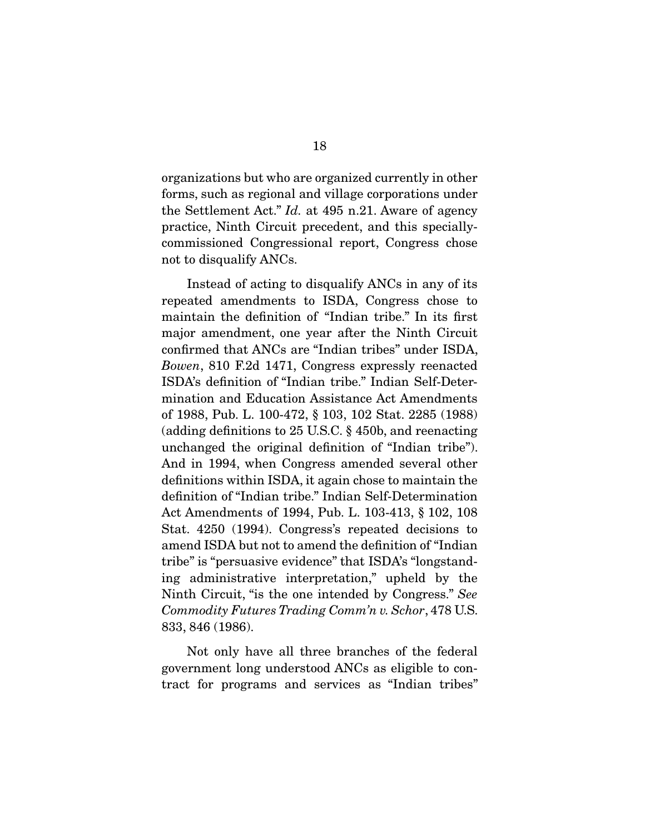organizations but who are organized currently in other the Settlement Act."  $Id$ . at 495 n.21. Aware of agency practice, Ninth Circuit precedent, and this specially-<br>commissioned Congressional report, Congress chose  $\frac{c_1}{c_2}$  report to discuss life  $\Lambda$  MCs.  $\sum_{i=1}^{n}$ 

Instead of acting to disqualify ANCs in any of its<br>repeated amendments to ISDA, Congress chose to maintain the definition of "Indian tribe." In its first major amendment, one year after the Ninth Circuit confirmed that ANCs are "Indian tribes" under ISDA, Example that ANCS are "Indian tribes" under ISDA,<br>Bowen, 810 F.2d 1471, Congress expressly reenacted<br>ISDA's definition of "Indian tribe" Indian Solf Deter ISDA's definition of "Indian tribe." Indian Self-Deterof 1988, Pub. L. 100-472, § 103, 102 Stat. 2285 (1988) (adding definitions to 25 U.S.C.  $\S$  450b, and reenacting unchanged the original definition of "Indian tribe"). And in 1994, when Congress amended several other definitions within ISDA, it again chose to maintain the definition of "Indian tribe." Indian Self-Determination Act Amendments of 1994, Pub. L. 103-413, § 102, 108 Stat.  $4250$  (1994). Congress's repeated decisions to amend ISDA but not to amend the definition of "Indian tribe" is "persuasive evidence" that ISDA's "longstanding administrative interpretation," upheld by the Ninth Circuit, "is the one intended by Congress." See  $Commutative Trading Commutative$ Commodity Futures Trading Comm'n v. Schor, 478 U.S.  $\frac{3}{2}$  83, 846 (1986).

Not only have all three branches of the federal government long understood ANCs as eligible to congovernment long understanding to go the contract for programs and services as "Indian tribes"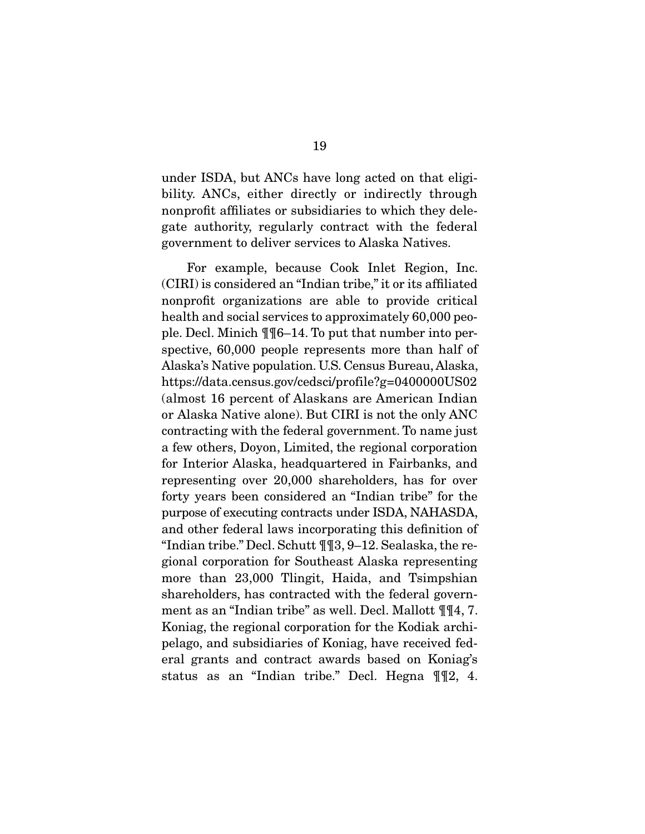under ISDA, but ANCs have long acted on that eliginonprofit affiliates or subsidiaries to which they delegate authority, regularly contract with the federal  $\frac{1}{2}$  contract to deliver services to Aleska Natives government to deliver services to Alaska Natives.

For example, because Cook Inlet Region, Inc. (CIRI) is considered an "Indian tribe," it or its affiliated nonprofit organizations are able to provide critical health and social services to approximately 60,000 people. Decl. Minich  $\P$  $[6-14]$ . To put that number into perspective, 60,000 people represents more than half of Alaska's Native population. U.S. Census Bureau, Alaska, https://data.census.gov/cedsci/profile?g=0400000US02 (almost 16 percent of Alaskans are American Indian or Alaska Native alone). But CIRI is not the only ANC contracting with the federal government. To name just a few others, Doyon, Limited, the regional corporation for Interior Alaska, headquartered in Fairbanks, and representing over 20,000 shareholders, has for over forty years been considered an "Indian tribe" for the purpose of executing contracts under ISDA, NAHASDA, and other federal laws incorporating this definition of "Indian tribe." Decl. Schutt  $\mathbb{q}$   $\mathbb{q}$ , 9-12. Sealaska, the regional corporation for Southeast Alaska representing more than 23,000 Tlingit, Haida, and Tsimpshian shareholders, has contracted with the federal government as an "Indian tribe" as well. Decl. Mallott  $\P\P4$ , 7. Koniag, the regional corporation for the Kodiak archipelago, and subsidiaries of Koniag, have received federal grants and contract awards based on Koniag's eral grants and contract and contract and contract on the second state of the second state of the second state on the second state of the second state of the second state of the second state of the second state of the seco status as an  $\mathbb{R}$  indicate  $\mathbb{R}$ . Here  $\mathbb{R}$   $\mathbb{R}$ ,  $\mathbb{R}$ ,  $\mathbb{R}$ ,  $\mathbb{R}$ ,  $\mathbb{R}$ ,  $\mathbb{R}$ ,  $\mathbb{R}$ ,  $\mathbb{R}$ ,  $\mathbb{R}$ ,  $\mathbb{R}$ ,  $\mathbb{R}$ ,  $\mathbb{R}$ ,  $\mathbb{R}$ ,  $\mathbb{R}$ ,  $\mathbb{R}$ ,  $\mathbb{R}$ ,  $\mathbb{R$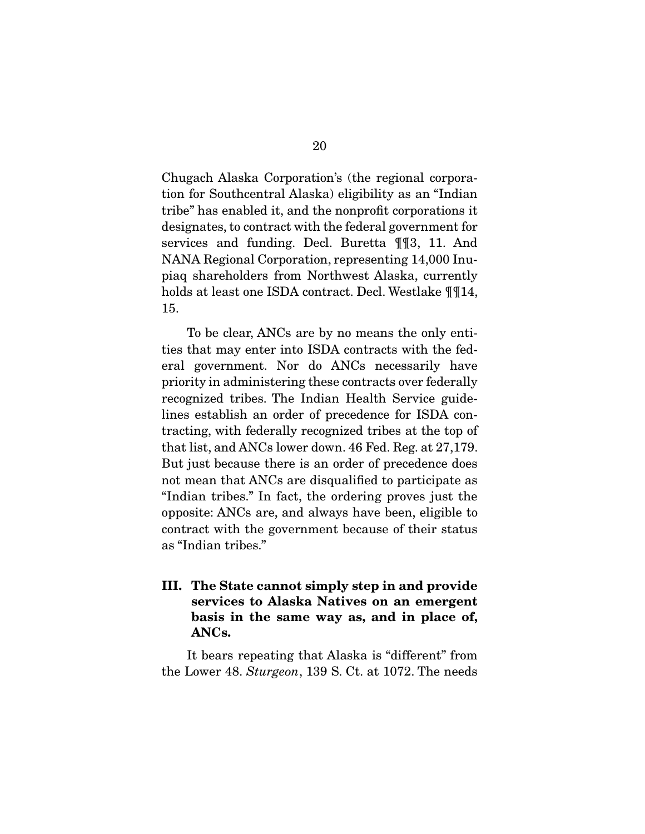Chugach Alaska Corporation's (the regional corporatribe" has enabled it, and the nonprofit corporations it designates, to contract with the federal government for services and funding. Decl. Buretta  $\P$  [3, 11. And NANA Regional Corporation, representing 14,000 Inupiaq shareholders from Northwest Alaska, currently ping the model of the model of the state of the state of the state of the state of the state of the state of the state of the state of the state of the state of the state of the state of the state of the state of the state holds at least one ISDA contract. Declared  $_{\text{H}}$ <sub>14</sub>,  $_{\text{H}}$ 15.

To be clear, ANCs are by no means the only entities that may enter into ISDA contracts with the federal government. Nor do ANCs necessarily have priority in administering these contracts over federally recognized tribes. The Indian Health Service guidelines establish an order of precedence for ISDA contracting, with federally recognized tribes at the top of that list, and ANCs lower down.  $46$  Fed. Reg. at  $27,179$ . But just because there is an order of precedence does not mean that ANCs are disqualified to participate as "Indian tribes." In fact, the ordering proves just the opposite: ANCs are, and always have been, eligible to contract with the government because of their status as "Indian tribes." as "Indiana" tribes.

**III. The State cannot simply step in and provide services to Alaska Natives on an emergent basis in the same way as, and in place of, ANCs.** 

the Lower 48. Sturgeon, 139 S. Ct. at 1072. The needs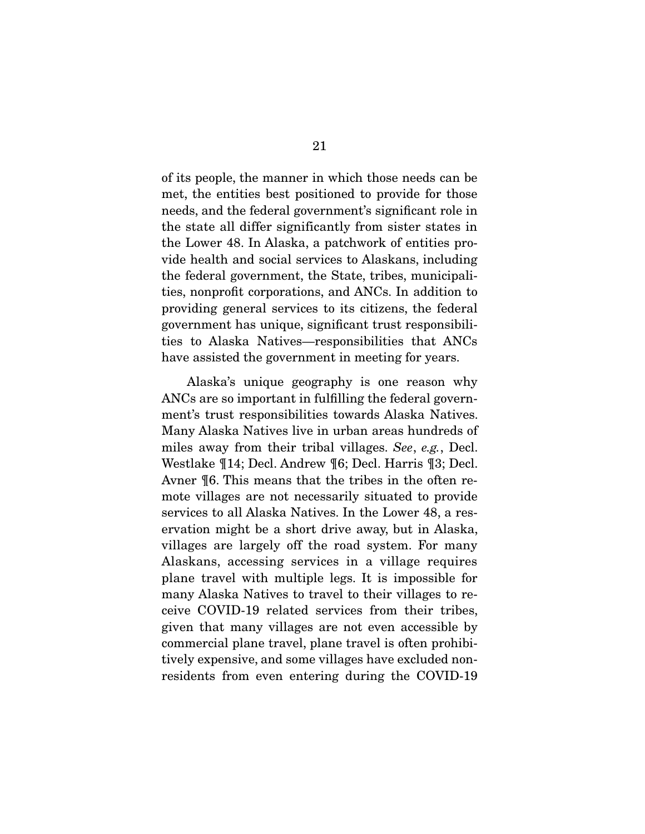of its people, the manner in which those needs can be met, the entities best positioned to provide for those needs, and the federal government's significant role in the state all differ significantly from sister states in the Lower 48. In Alaska, a patchwork of entities provide health and social services to Alaskans, including the federal government, the State, tribes, municipalities, nonprofit corporations, and ANCs. In addition to providing general services to its citizens, the federal government has unique, significant trust responsibilities to Alaska Natives—responsibilities that ANCs  $\frac{1}{1}$ have assisted the government in meeting for years.

Alaska's unique geography is one reason why ANCs are so important in fulfilling the federal government's trust responsibilities towards Alaska Natives. Many Alaska Natives live in urban areas hundreds of miles away from their tribal villages. See, e.g., Decl.<br>Westlake ¶14: Deel Andrew ¶6: Deel Herris ¶3: Deel Westlake  $\P$ 14; Decl. Andrew  $\P$ 6; Decl. Harris  $\P$ 3; Decl. Avner  $\P$ 6. This means that the tribes in the often remote villages are not necessarily situated to provide services to all Alaska Natives. In the Lower 48, a reservation might be a short drive away, but in Alaska, villages are largely off the road system. For many Alaskans, accessing services in a village requires. plane travel with multiple legs. It is impossible for many Alaska Natives to travel to their villages to receive COVID-19 related services from their tribes, given that many villages are not even accessible by commercial plane travel, plane travel is often prohibitively expensive, and some villages have excluded non- $\frac{1}{2}$  receives the villages of  $\frac{1}{2}$  and  $\frac{1}{2}$  and  $\frac{1}{2}$  and  $\frac{1}{2}$  and  $\frac{1}{2}$  and  $\frac{1}{2}$  and  $\frac{1}{2}$  and  $\frac{1}{2}$  and  $\frac{1}{2}$  and  $\frac{1}{2}$  and  $\frac{1}{2}$  and  $\frac{1}{2}$  and  $\frac{1}{2}$  and  $\frac{$ residents from even entering during the COVID-19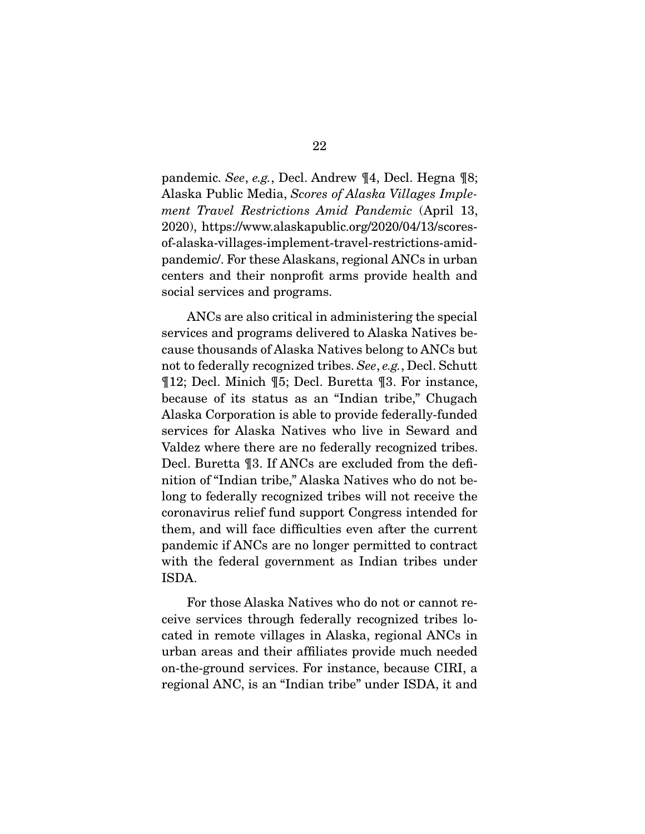pandemic. See, e.g., Decl. Andrew ¶4, Decl. Hegna ¶8; Alaska Public Media, Scores of Alaska Villages Implement Travel Restrictions Amid Pandemic (April 13, 2020), https://www.alaskapublic.org/2020/04/13/scoresof-alaska-villages-implement-travel-restrictions-amidpandemic/. For these Alaskans, regional ANCs in urban centers and their nonprofit arms provide health and  $\frac{1}{\sqrt{1}}$  contributions and  $\frac{1}{\sqrt{1}}$ social services and programs.

ANCs are also critical in administering the special<br>services and programs delivered to Alaska Natives because thousands of Alaska Natives belong to ANCs but not to federally recognized tribes. See, e.g., Decl. Schutt<br>
T12: Decl. Minich T5: Decl. Buretta T3. For instance ¶12; Decl. Minich ¶5; Decl. Buretta ¶3. For instance, Alaska Corporation is able to provide federally-funded services for Alaska Natives who live in Seward and Valdez where there are no federally recognized tribes. Decl. Buretta ¶3. If ANCs are excluded from the definition of "Indian tribe," Alaska Natives who do not belong to federally recognized tribes will not receive the coronavirus relief fund support Congress intended for them, and will face difficulties even after the current pandemic if ANCs are no longer permitted to contract with the federal government as Indian tribes under  $N = \frac{1}{2}$ ISDA.

For those Alaska Natives who do not or cannot receive services through federally recognized tribes located in remote villages in Alaska, regional ANCs in urban areas and their affiliates provide much needed on-the-ground services. For instance, because CIRI, a regional ANC, is an "Indian tribe" under ISDA, it and regional ANC, is an "Indian tribe" under ISDA, it and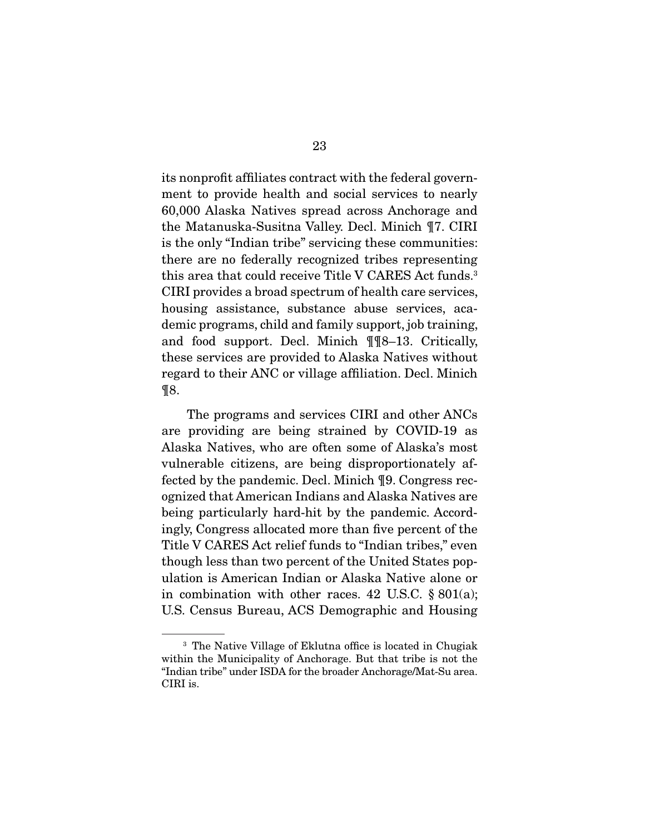its nonprofit affiliates contract with the federal govern-60,000 Alaska Natives spread across Anchorage and the Matanuska-Susitna Valley. Decl. Minich ¶7. CIRI is the only "Indian tribe" servicing these communities: there are no federally recognized tribes representing this area that could receive Title V CARES Act funds.<sup>3</sup> CIRI provides a broad spectrum of health care services, housing assistance, substance abuse services, academic programs, child and family support, job training, and food support. Decl. Minich  $\P$  $[$ 8–13. Critically, these services are provided to Alaska Natives without regard to their ANC or village affiliation. Decl. Minich regard to the to the extensive affiliation. Declination and  $\sigma$  $\mathbf{R}$ 

The programs and services CIRI and other ANCs<br>are providing are being strained by COVID-19 as Alaska Natives, who are often some of Alaska's most vulnerable citizens, are being disproportionately affected by the pandemic. Decl. Minich  $\P 9$ . Congress recognized that American Indians and Alaska Natives are being particularly hard-hit by the pandemic. Accordingly, Congress allocated more than five percent of the Title V CARES Act relief funds to "Indian tribes," even though less than two percent of the United States population is American Indian or Alaska Native alone or in combination with other races. 42 U.S.C.  $\S 801(a)$ ;  $\frac{1}{18}$  Congus Buroau  $\Lambda$ CS Domographic and Houging  $U_{\rm S}$  census Bureau, Acs Demographic and Housing

<sup>&</sup>lt;sup>3</sup> The Native Village of Eklutna office is located in Chugiak within the Municipality of Anchorage. But that tribe is not the "Indian tribe" under ISDA for the broader Anchorage/Mat-Su area. The broader is the broader in the broader Anchorage/Mat-Su area.<br>CIRI is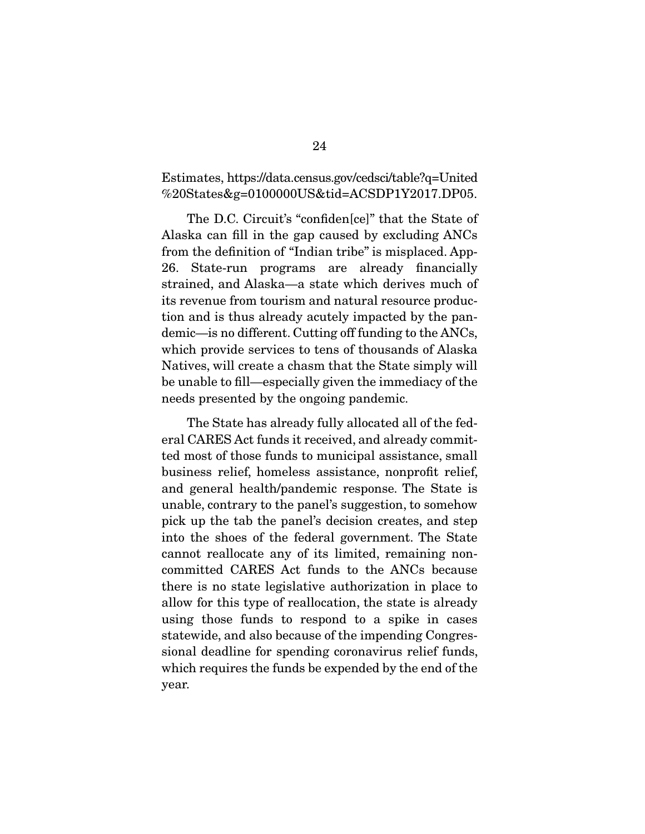# $\%20$ States $k\sigma$ –0100000IIS $k$ tid–ACSDP1V2017 DP05  $\mathcal{L}$  and  $\mathcal{L}$  and  $\mathcal{L}$

The D.C. Circuit's "confiden[ce]" that the State of Alaska can fill in the gap caused by excluding ANCs from the definition of "Indian tribe" is misplaced. App-26. State-run programs are already financially strained, and Alaska—a state which derives much of its revenue from tourism and natural resource production and is thus already acutely impacted by the pandemic—is no different. Cutting off funding to the ANCs, which provide services to tens of thousands of Alaska Natives, will create a chasm that the State simply will be unable to fill—especially given the immediacy of the  $\frac{d}{dx}$  is the immediacy of the immediacy of the immediacy of the immediacy of the immediacy of the immediacy of the immediacy of the immediacy of the immediacy of the immediacy of the immediacy of the immediacy of the needs presented by the ongoing pandemic.

The State has already fully allocated all of the federal CARES Act funds it received, and already committed most of those funds to municipal assistance, small business relief, homeless assistance, nonprofit relief, and general health/pandemic response. The State is unable, contrary to the panel's suggestion, to somehow pick up the tab the panel's decision creates, and step into the shoes of the federal government. The State cannot reallocate any of its limited, remaining noncommitted CARES Act funds to the ANCs because there is no state legislative authorization in place to allow for this type of reallocation, the state is already using those funds to respond to a spike in cases statewide, and also because of the impending Congressional deadline for spending coronavirus relief funds,  $\frac{1}{2}$  since  $\frac{1}{2}$  for  $\frac{1}{2}$  funds be expended by the end of the where  $\mathbf{r}_1$  requires the funds be expendition by the end of the end of the end of the end of the end of the end of the end of the end of the end of the end of the end of the end of the end of the end of the end of the year.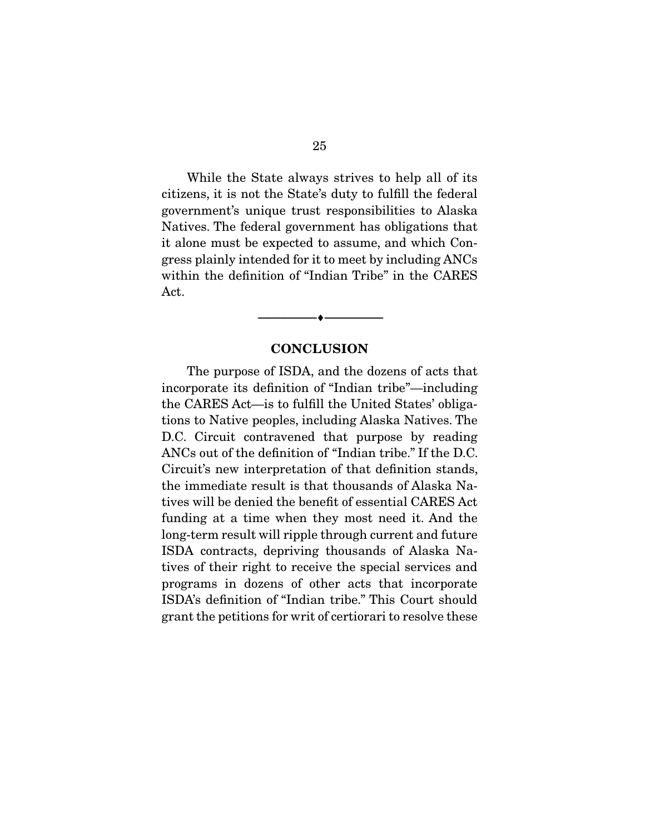While the State always strives to help all of its citizens, it is not the State's duty to fulfill the federal government's unique trust responsibilities to Alaska Natives. The federal government has obligations that it alone must be expected to assume, and which Congress plainly intended for it to meet by including ANCs within the definition of "Indian Tribe" in the CARES  $\Delta$ et

#### **CONCLUSION**

 $\overbrace{\hspace{2.5cm}}$   $\overbrace{\hspace{2.5cm}}$ 

The purpose of ISDA, and the dozens of acts that incorporate its definition of "Indian tribe"—including the CARES Act—is to fulfill the United States' obligations to Native peoples, including Alaska Natives. The D.C. Circuit contravened that purpose by reading ANCs out of the definition of "Indian tribe." If the D.C. Circuit's new interpretation of that definition stands, the immediate result is that thousands of Alaska Natives will be denied the benefit of essential CARES Act funding at a time when they most need it. And the long-term result will ripple through current and future ISDA contracts, depriving thousands of Alaska Natives of their right to receive the special services and programs in dozens of other acts that incorporate ISDA's definition of "Indian tribe." This Court should grant the petitions for writ of certiorari to resolve these  $\sigma$  and the petitions for write the certifications for  $\sigma$